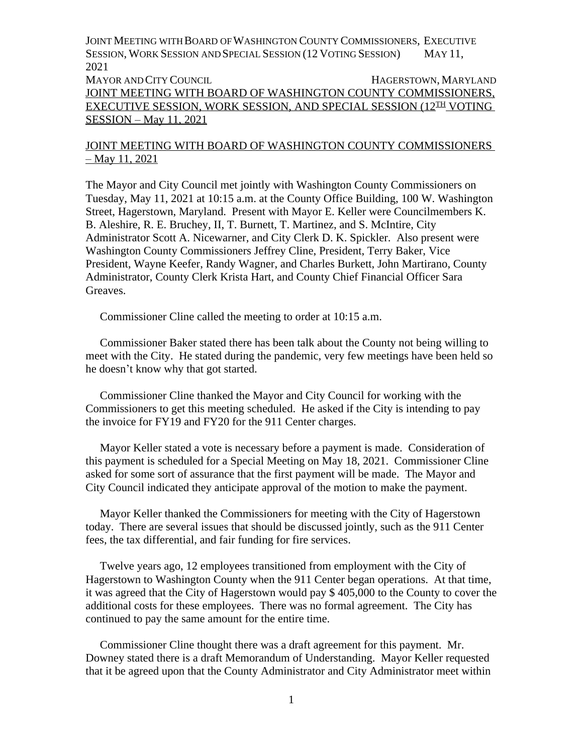JOINT MEETING WITH BOARD OF WASHINGTON COUNTY COMMISSIONERS, EXECUTIVE SESSION, WORK SESSION AND SPECIAL SESSION (12 VOTING SESSION) MAY 11, 2021 MAYOR AND CITY COUNCIL HAGERSTOWN, MARYLAND JOINT MEETING WITH BOARD OF WASHINGTON COUNTY COMMISSIONERS, EXECUTIVE SESSION, WORK SESSION, AND SPECIAL SESSION (12<sup>TH</sup> VOTING SESSION – May 11, 2021

## JOINT MEETING WITH BOARD OF WASHINGTON COUNTY COMMISSIONERS  $-May$  11, 2021

The Mayor and City Council met jointly with Washington County Commissioners on Tuesday, May 11, 2021 at 10:15 a.m. at the County Office Building, 100 W. Washington Street, Hagerstown, Maryland. Present with Mayor E. Keller were Councilmembers K. B. Aleshire, R. E. Bruchey, II, T. Burnett, T. Martinez, and S. McIntire, City Administrator Scott A. Nicewarner, and City Clerk D. K. Spickler. Also present were Washington County Commissioners Jeffrey Cline, President, Terry Baker, Vice President, Wayne Keefer, Randy Wagner, and Charles Burkett, John Martirano, County Administrator, County Clerk Krista Hart, and County Chief Financial Officer Sara Greaves.

Commissioner Cline called the meeting to order at 10:15 a.m.

 Commissioner Baker stated there has been talk about the County not being willing to meet with the City. He stated during the pandemic, very few meetings have been held so he doesn't know why that got started.

 Commissioner Cline thanked the Mayor and City Council for working with the Commissioners to get this meeting scheduled. He asked if the City is intending to pay the invoice for FY19 and FY20 for the 911 Center charges.

 Mayor Keller stated a vote is necessary before a payment is made. Consideration of this payment is scheduled for a Special Meeting on May 18, 2021. Commissioner Cline asked for some sort of assurance that the first payment will be made. The Mayor and City Council indicated they anticipate approval of the motion to make the payment.

 Mayor Keller thanked the Commissioners for meeting with the City of Hagerstown today. There are several issues that should be discussed jointly, such as the 911 Center fees, the tax differential, and fair funding for fire services.

 Twelve years ago, 12 employees transitioned from employment with the City of Hagerstown to Washington County when the 911 Center began operations. At that time, it was agreed that the City of Hagerstown would pay \$ 405,000 to the County to cover the additional costs for these employees. There was no formal agreement. The City has continued to pay the same amount for the entire time.

 Commissioner Cline thought there was a draft agreement for this payment. Mr. Downey stated there is a draft Memorandum of Understanding. Mayor Keller requested that it be agreed upon that the County Administrator and City Administrator meet within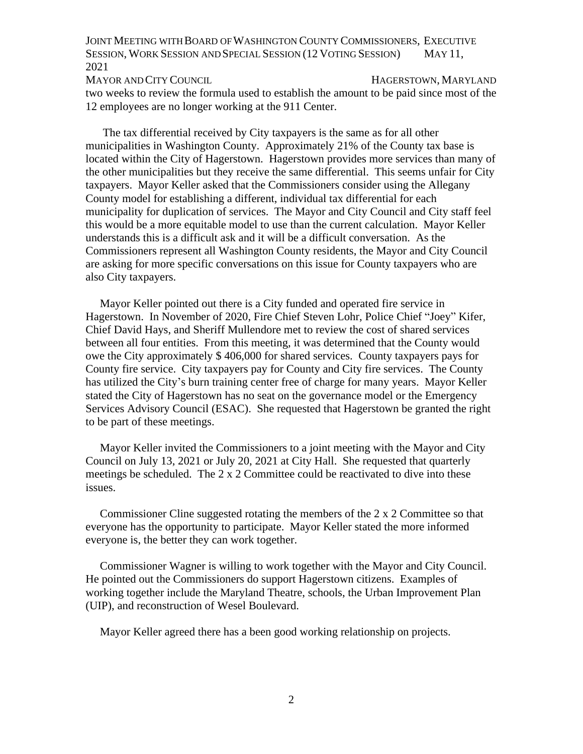MAYOR AND CITY COUNCIL HAGERSTOWN, MARYLAND

two weeks to review the formula used to establish the amount to be paid since most of the 12 employees are no longer working at the 911 Center.

 The tax differential received by City taxpayers is the same as for all other municipalities in Washington County. Approximately 21% of the County tax base is located within the City of Hagerstown. Hagerstown provides more services than many of the other municipalities but they receive the same differential. This seems unfair for City taxpayers. Mayor Keller asked that the Commissioners consider using the Allegany County model for establishing a different, individual tax differential for each municipality for duplication of services. The Mayor and City Council and City staff feel this would be a more equitable model to use than the current calculation. Mayor Keller understands this is a difficult ask and it will be a difficult conversation. As the Commissioners represent all Washington County residents, the Mayor and City Council are asking for more specific conversations on this issue for County taxpayers who are also City taxpayers.

 Mayor Keller pointed out there is a City funded and operated fire service in Hagerstown. In November of 2020, Fire Chief Steven Lohr, Police Chief "Joey" Kifer, Chief David Hays, and Sheriff Mullendore met to review the cost of shared services between all four entities. From this meeting, it was determined that the County would owe the City approximately \$ 406,000 for shared services. County taxpayers pays for County fire service. City taxpayers pay for County and City fire services. The County has utilized the City's burn training center free of charge for many years. Mayor Keller stated the City of Hagerstown has no seat on the governance model or the Emergency Services Advisory Council (ESAC). She requested that Hagerstown be granted the right to be part of these meetings.

 Mayor Keller invited the Commissioners to a joint meeting with the Mayor and City Council on July 13, 2021 or July 20, 2021 at City Hall. She requested that quarterly meetings be scheduled. The 2 x 2 Committee could be reactivated to dive into these issues.

 Commissioner Cline suggested rotating the members of the 2 x 2 Committee so that everyone has the opportunity to participate. Mayor Keller stated the more informed everyone is, the better they can work together.

 Commissioner Wagner is willing to work together with the Mayor and City Council. He pointed out the Commissioners do support Hagerstown citizens. Examples of working together include the Maryland Theatre, schools, the Urban Improvement Plan (UIP), and reconstruction of Wesel Boulevard.

Mayor Keller agreed there has a been good working relationship on projects.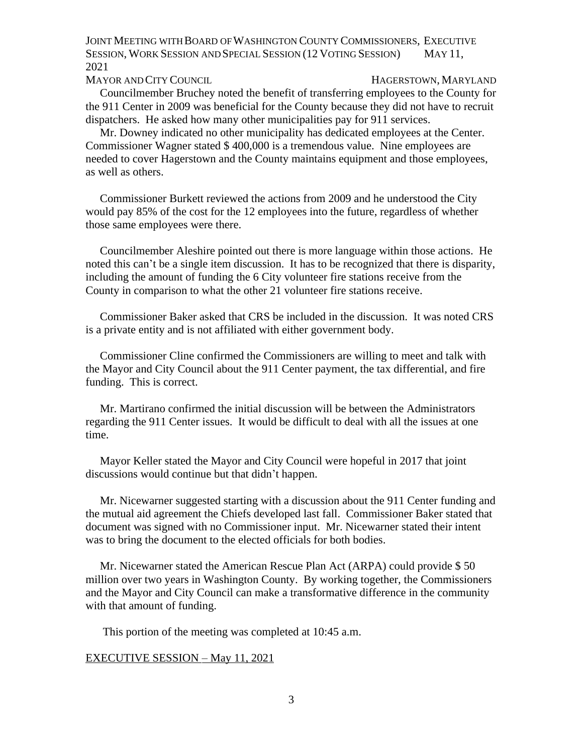### MAYOR AND CITY COUNCIL HAGERSTOWN, MARYLAND

 Councilmember Bruchey noted the benefit of transferring employees to the County for the 911 Center in 2009 was beneficial for the County because they did not have to recruit dispatchers. He asked how many other municipalities pay for 911 services.

 Mr. Downey indicated no other municipality has dedicated employees at the Center. Commissioner Wagner stated \$ 400,000 is a tremendous value. Nine employees are needed to cover Hagerstown and the County maintains equipment and those employees, as well as others.

 Commissioner Burkett reviewed the actions from 2009 and he understood the City would pay 85% of the cost for the 12 employees into the future, regardless of whether those same employees were there.

 Councilmember Aleshire pointed out there is more language within those actions. He noted this can't be a single item discussion. It has to be recognized that there is disparity, including the amount of funding the 6 City volunteer fire stations receive from the County in comparison to what the other 21 volunteer fire stations receive.

 Commissioner Baker asked that CRS be included in the discussion. It was noted CRS is a private entity and is not affiliated with either government body.

 Commissioner Cline confirmed the Commissioners are willing to meet and talk with the Mayor and City Council about the 911 Center payment, the tax differential, and fire funding. This is correct.

 Mr. Martirano confirmed the initial discussion will be between the Administrators regarding the 911 Center issues. It would be difficult to deal with all the issues at one time.

 Mayor Keller stated the Mayor and City Council were hopeful in 2017 that joint discussions would continue but that didn't happen.

 Mr. Nicewarner suggested starting with a discussion about the 911 Center funding and the mutual aid agreement the Chiefs developed last fall. Commissioner Baker stated that document was signed with no Commissioner input. Mr. Nicewarner stated their intent was to bring the document to the elected officials for both bodies.

 Mr. Nicewarner stated the American Rescue Plan Act (ARPA) could provide \$ 50 million over two years in Washington County. By working together, the Commissioners and the Mayor and City Council can make a transformative difference in the community with that amount of funding.

This portion of the meeting was completed at 10:45 a.m.

#### EXECUTIVE SESSION – May 11, 2021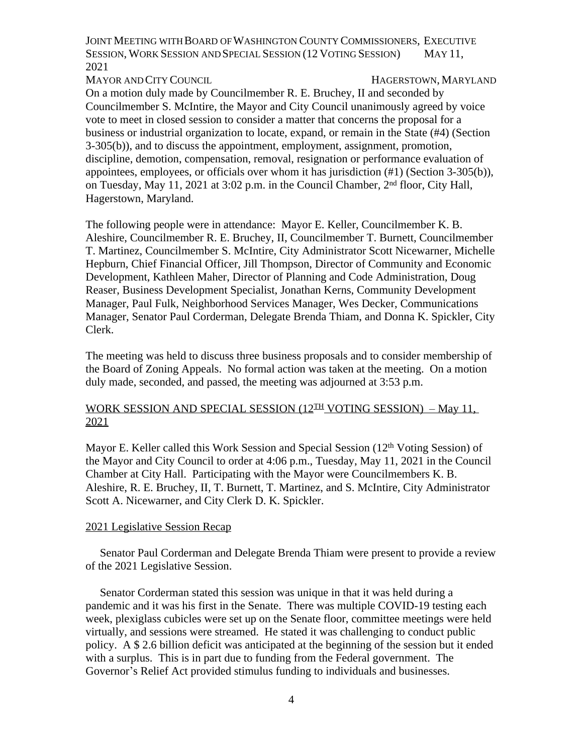MAYOR AND CITY COUNCIL HAGERSTOWN, MARYLAND

On a motion duly made by Councilmember R. E. Bruchey, II and seconded by Councilmember S. McIntire, the Mayor and City Council unanimously agreed by voice vote to meet in closed session to consider a matter that concerns the proposal for a business or industrial organization to locate, expand, or remain in the State (#4) (Section 3-305(b)), and to discuss the appointment, employment, assignment, promotion, discipline, demotion, compensation, removal, resignation or performance evaluation of appointees, employees, or officials over whom it has jurisdiction (#1) (Section 3-305(b)), on Tuesday, May 11, 2021 at 3:02 p.m. in the Council Chamber, 2nd floor, City Hall, Hagerstown, Maryland.

The following people were in attendance: Mayor E. Keller, Councilmember K. B. Aleshire, Councilmember R. E. Bruchey, II, Councilmember T. Burnett, Councilmember T. Martinez, Councilmember S. McIntire, City Administrator Scott Nicewarner, Michelle Hepburn, Chief Financial Officer, Jill Thompson, Director of Community and Economic Development, Kathleen Maher, Director of Planning and Code Administration, Doug Reaser, Business Development Specialist, Jonathan Kerns, Community Development Manager, Paul Fulk, Neighborhood Services Manager, Wes Decker, Communications Manager, Senator Paul Corderman, Delegate Brenda Thiam, and Donna K. Spickler, City Clerk.

The meeting was held to discuss three business proposals and to consider membership of the Board of Zoning Appeals. No formal action was taken at the meeting. On a motion duly made, seconded, and passed, the meeting was adjourned at 3:53 p.m.

## WORK SESSION AND SPECIAL SESSION  $(12^{\text{TH}}$  VOTING SESSION) – May 11, 2021

Mayor E. Keller called this Work Session and Special Session (12<sup>th</sup> Voting Session) of the Mayor and City Council to order at 4:06 p.m., Tuesday, May 11, 2021 in the Council Chamber at City Hall. Participating with the Mayor were Councilmembers K. B. Aleshire, R. E. Bruchey, II, T. Burnett, T. Martinez, and S. McIntire, City Administrator Scott A. Nicewarner, and City Clerk D. K. Spickler.

## 2021 Legislative Session Recap

 Senator Paul Corderman and Delegate Brenda Thiam were present to provide a review of the 2021 Legislative Session.

 Senator Corderman stated this session was unique in that it was held during a pandemic and it was his first in the Senate. There was multiple COVID-19 testing each week, plexiglass cubicles were set up on the Senate floor, committee meetings were held virtually, and sessions were streamed. He stated it was challenging to conduct public policy. A \$ 2.6 billion deficit was anticipated at the beginning of the session but it ended with a surplus. This is in part due to funding from the Federal government. The Governor's Relief Act provided stimulus funding to individuals and businesses.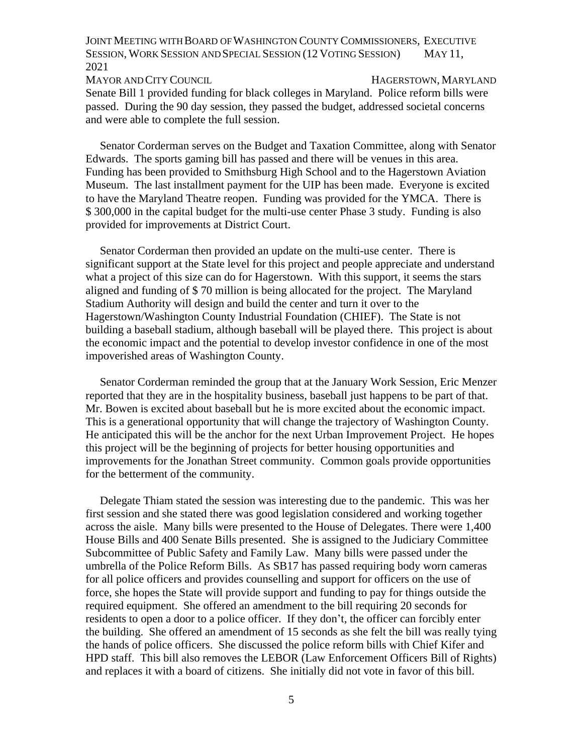MAYOR AND CITY COUNCIL SERVICE SERVICES AND THE HAGERSTOWN, MARYLAND

Senate Bill 1 provided funding for black colleges in Maryland. Police reform bills were passed. During the 90 day session, they passed the budget, addressed societal concerns and were able to complete the full session.

 Senator Corderman serves on the Budget and Taxation Committee, along with Senator Edwards. The sports gaming bill has passed and there will be venues in this area. Funding has been provided to Smithsburg High School and to the Hagerstown Aviation Museum. The last installment payment for the UIP has been made. Everyone is excited to have the Maryland Theatre reopen. Funding was provided for the YMCA. There is \$ 300,000 in the capital budget for the multi-use center Phase 3 study. Funding is also provided for improvements at District Court.

 Senator Corderman then provided an update on the multi-use center. There is significant support at the State level for this project and people appreciate and understand what a project of this size can do for Hagerstown. With this support, it seems the stars aligned and funding of \$ 70 million is being allocated for the project. The Maryland Stadium Authority will design and build the center and turn it over to the Hagerstown/Washington County Industrial Foundation (CHIEF). The State is not building a baseball stadium, although baseball will be played there. This project is about the economic impact and the potential to develop investor confidence in one of the most impoverished areas of Washington County.

 Senator Corderman reminded the group that at the January Work Session, Eric Menzer reported that they are in the hospitality business, baseball just happens to be part of that. Mr. Bowen is excited about baseball but he is more excited about the economic impact. This is a generational opportunity that will change the trajectory of Washington County. He anticipated this will be the anchor for the next Urban Improvement Project. He hopes this project will be the beginning of projects for better housing opportunities and improvements for the Jonathan Street community. Common goals provide opportunities for the betterment of the community.

 Delegate Thiam stated the session was interesting due to the pandemic. This was her first session and she stated there was good legislation considered and working together across the aisle. Many bills were presented to the House of Delegates. There were 1,400 House Bills and 400 Senate Bills presented. She is assigned to the Judiciary Committee Subcommittee of Public Safety and Family Law. Many bills were passed under the umbrella of the Police Reform Bills. As SB17 has passed requiring body worn cameras for all police officers and provides counselling and support for officers on the use of force, she hopes the State will provide support and funding to pay for things outside the required equipment. She offered an amendment to the bill requiring 20 seconds for residents to open a door to a police officer. If they don't, the officer can forcibly enter the building. She offered an amendment of 15 seconds as she felt the bill was really tying the hands of police officers. She discussed the police reform bills with Chief Kifer and HPD staff. This bill also removes the LEBOR (Law Enforcement Officers Bill of Rights) and replaces it with a board of citizens. She initially did not vote in favor of this bill.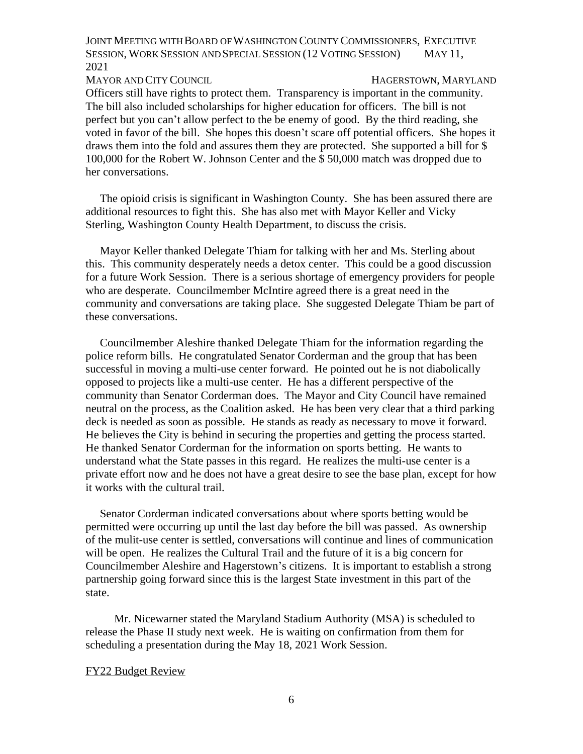## MAYOR AND CITY COUNCIL HAGERSTOWN, MARYLAND

Officers still have rights to protect them. Transparency is important in the community. The bill also included scholarships for higher education for officers. The bill is not perfect but you can't allow perfect to the be enemy of good. By the third reading, she voted in favor of the bill. She hopes this doesn't scare off potential officers. She hopes it draws them into the fold and assures them they are protected. She supported a bill for \$ 100,000 for the Robert W. Johnson Center and the \$ 50,000 match was dropped due to her conversations.

 The opioid crisis is significant in Washington County. She has been assured there are additional resources to fight this. She has also met with Mayor Keller and Vicky Sterling, Washington County Health Department, to discuss the crisis.

 Mayor Keller thanked Delegate Thiam for talking with her and Ms. Sterling about this. This community desperately needs a detox center. This could be a good discussion for a future Work Session. There is a serious shortage of emergency providers for people who are desperate. Councilmember McIntire agreed there is a great need in the community and conversations are taking place. She suggested Delegate Thiam be part of these conversations.

 Councilmember Aleshire thanked Delegate Thiam for the information regarding the police reform bills. He congratulated Senator Corderman and the group that has been successful in moving a multi-use center forward. He pointed out he is not diabolically opposed to projects like a multi-use center. He has a different perspective of the community than Senator Corderman does. The Mayor and City Council have remained neutral on the process, as the Coalition asked. He has been very clear that a third parking deck is needed as soon as possible. He stands as ready as necessary to move it forward. He believes the City is behind in securing the properties and getting the process started. He thanked Senator Corderman for the information on sports betting. He wants to understand what the State passes in this regard. He realizes the multi-use center is a private effort now and he does not have a great desire to see the base plan, except for how it works with the cultural trail.

 Senator Corderman indicated conversations about where sports betting would be permitted were occurring up until the last day before the bill was passed. As ownership of the mulit-use center is settled, conversations will continue and lines of communication will be open. He realizes the Cultural Trail and the future of it is a big concern for Councilmember Aleshire and Hagerstown's citizens. It is important to establish a strong partnership going forward since this is the largest State investment in this part of the state.

 Mr. Nicewarner stated the Maryland Stadium Authority (MSA) is scheduled to release the Phase II study next week. He is waiting on confirmation from them for scheduling a presentation during the May 18, 2021 Work Session.

### FY22 Budget Review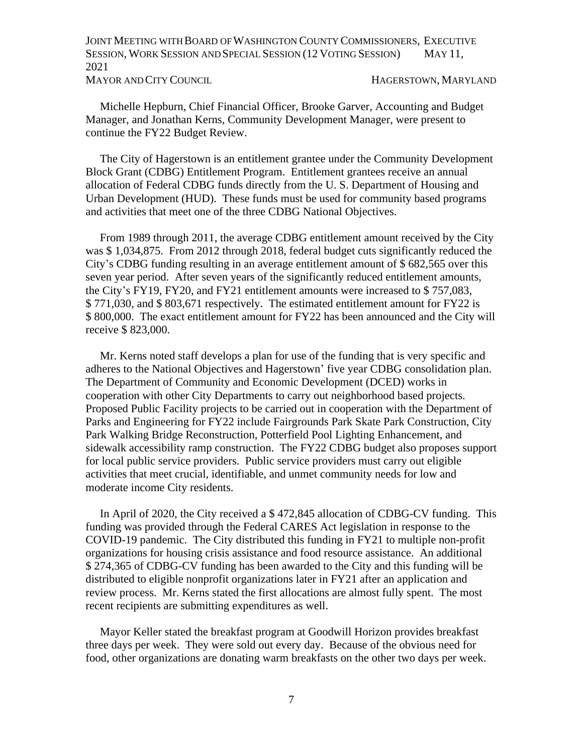JOINT MEETING WITH BOARD OF WASHINGTON COUNTY COMMISSIONERS, EXECUTIVE SESSION, WORK SESSION AND SPECIAL SESSION (12 VOTING SESSION) MAY 11, 2021 MAYOR AND CITY COUNCIL HAGERSTOWN, MARYLAND

 Michelle Hepburn, Chief Financial Officer, Brooke Garver, Accounting and Budget Manager, and Jonathan Kerns, Community Development Manager, were present to continue the FY22 Budget Review.

 The City of Hagerstown is an entitlement grantee under the Community Development Block Grant (CDBG) Entitlement Program. Entitlement grantees receive an annual allocation of Federal CDBG funds directly from the U. S. Department of Housing and Urban Development (HUD). These funds must be used for community based programs and activities that meet one of the three CDBG National Objectives.

 From 1989 through 2011, the average CDBG entitlement amount received by the City was \$ 1,034,875. From 2012 through 2018, federal budget cuts significantly reduced the City's CDBG funding resulting in an average entitlement amount of \$ 682,565 over this seven year period. After seven years of the significantly reduced entitlement amounts, the City's FY19, FY20, and FY21 entitlement amounts were increased to \$ 757,083, \$ 771,030, and \$ 803,671 respectively. The estimated entitlement amount for FY22 is \$ 800,000. The exact entitlement amount for FY22 has been announced and the City will receive \$ 823,000.

 Mr. Kerns noted staff develops a plan for use of the funding that is very specific and adheres to the National Objectives and Hagerstown' five year CDBG consolidation plan. The Department of Community and Economic Development (DCED) works in cooperation with other City Departments to carry out neighborhood based projects. Proposed Public Facility projects to be carried out in cooperation with the Department of Parks and Engineering for FY22 include Fairgrounds Park Skate Park Construction, City Park Walking Bridge Reconstruction, Potterfield Pool Lighting Enhancement, and sidewalk accessibility ramp construction. The FY22 CDBG budget also proposes support for local public service providers. Public service providers must carry out eligible activities that meet crucial, identifiable, and unmet community needs for low and moderate income City residents.

 In April of 2020, the City received a \$ 472,845 allocation of CDBG-CV funding. This funding was provided through the Federal CARES Act legislation in response to the COVID-19 pandemic. The City distributed this funding in FY21 to multiple non-profit organizations for housing crisis assistance and food resource assistance. An additional \$ 274,365 of CDBG-CV funding has been awarded to the City and this funding will be distributed to eligible nonprofit organizations later in FY21 after an application and review process. Mr. Kerns stated the first allocations are almost fully spent. The most recent recipients are submitting expenditures as well.

 Mayor Keller stated the breakfast program at Goodwill Horizon provides breakfast three days per week. They were sold out every day. Because of the obvious need for food, other organizations are donating warm breakfasts on the other two days per week.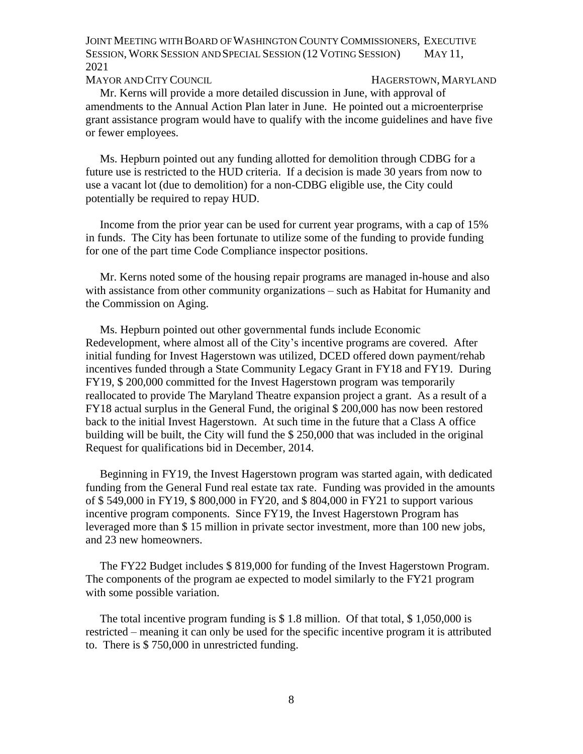#### MAYOR AND CITY COUNCIL HAGERSTOWN, MARYLAND

 Mr. Kerns will provide a more detailed discussion in June, with approval of amendments to the Annual Action Plan later in June. He pointed out a microenterprise grant assistance program would have to qualify with the income guidelines and have five or fewer employees.

 Ms. Hepburn pointed out any funding allotted for demolition through CDBG for a future use is restricted to the HUD criteria. If a decision is made 30 years from now to use a vacant lot (due to demolition) for a non-CDBG eligible use, the City could potentially be required to repay HUD.

 Income from the prior year can be used for current year programs, with a cap of 15% in funds. The City has been fortunate to utilize some of the funding to provide funding for one of the part time Code Compliance inspector positions.

 Mr. Kerns noted some of the housing repair programs are managed in-house and also with assistance from other community organizations – such as Habitat for Humanity and the Commission on Aging.

 Ms. Hepburn pointed out other governmental funds include Economic Redevelopment, where almost all of the City's incentive programs are covered. After initial funding for Invest Hagerstown was utilized, DCED offered down payment/rehab incentives funded through a State Community Legacy Grant in FY18 and FY19. During FY19, \$ 200,000 committed for the Invest Hagerstown program was temporarily reallocated to provide The Maryland Theatre expansion project a grant. As a result of a FY18 actual surplus in the General Fund, the original \$ 200,000 has now been restored back to the initial Invest Hagerstown. At such time in the future that a Class A office building will be built, the City will fund the \$ 250,000 that was included in the original Request for qualifications bid in December, 2014.

 Beginning in FY19, the Invest Hagerstown program was started again, with dedicated funding from the General Fund real estate tax rate. Funding was provided in the amounts of \$ 549,000 in FY19, \$ 800,000 in FY20, and \$ 804,000 in FY21 to support various incentive program components. Since FY19, the Invest Hagerstown Program has leveraged more than \$ 15 million in private sector investment, more than 100 new jobs, and 23 new homeowners.

 The FY22 Budget includes \$ 819,000 for funding of the Invest Hagerstown Program. The components of the program ae expected to model similarly to the FY21 program with some possible variation.

 The total incentive program funding is \$ 1.8 million. Of that total, \$ 1,050,000 is restricted – meaning it can only be used for the specific incentive program it is attributed to. There is \$ 750,000 in unrestricted funding.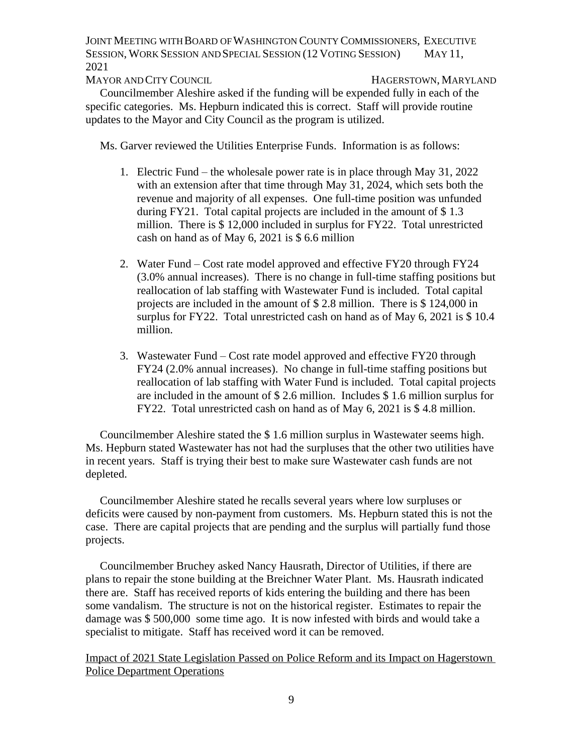MAYOR AND CITY COUNCIL HAGERSTOWN, MARYLAND

 Councilmember Aleshire asked if the funding will be expended fully in each of the specific categories. Ms. Hepburn indicated this is correct. Staff will provide routine updates to the Mayor and City Council as the program is utilized.

Ms. Garver reviewed the Utilities Enterprise Funds. Information is as follows:

- 1. Electric Fund the wholesale power rate is in place through May 31, 2022 with an extension after that time through May 31, 2024, which sets both the revenue and majority of all expenses. One full-time position was unfunded during FY21. Total capital projects are included in the amount of \$ 1.3 million. There is \$ 12,000 included in surplus for FY22. Total unrestricted cash on hand as of May 6, 2021 is \$ 6.6 million
- 2. Water Fund Cost rate model approved and effective FY20 through FY24 (3.0% annual increases). There is no change in full-time staffing positions but reallocation of lab staffing with Wastewater Fund is included. Total capital projects are included in the amount of \$ 2.8 million. There is \$ 124,000 in surplus for FY22. Total unrestricted cash on hand as of May 6, 2021 is \$ 10.4 million.
- 3. Wastewater Fund Cost rate model approved and effective FY20 through FY24 (2.0% annual increases). No change in full-time staffing positions but reallocation of lab staffing with Water Fund is included. Total capital projects are included in the amount of \$ 2.6 million. Includes \$ 1.6 million surplus for FY22. Total unrestricted cash on hand as of May 6, 2021 is \$ 4.8 million.

 Councilmember Aleshire stated the \$ 1.6 million surplus in Wastewater seems high. Ms. Hepburn stated Wastewater has not had the surpluses that the other two utilities have in recent years. Staff is trying their best to make sure Wastewater cash funds are not depleted.

 Councilmember Aleshire stated he recalls several years where low surpluses or deficits were caused by non-payment from customers. Ms. Hepburn stated this is not the case. There are capital projects that are pending and the surplus will partially fund those projects.

 Councilmember Bruchey asked Nancy Hausrath, Director of Utilities, if there are plans to repair the stone building at the Breichner Water Plant. Ms. Hausrath indicated there are. Staff has received reports of kids entering the building and there has been some vandalism. The structure is not on the historical register. Estimates to repair the damage was \$ 500,000 some time ago. It is now infested with birds and would take a specialist to mitigate. Staff has received word it can be removed.

Impact of 2021 State Legislation Passed on Police Reform and its Impact on Hagerstown Police Department Operations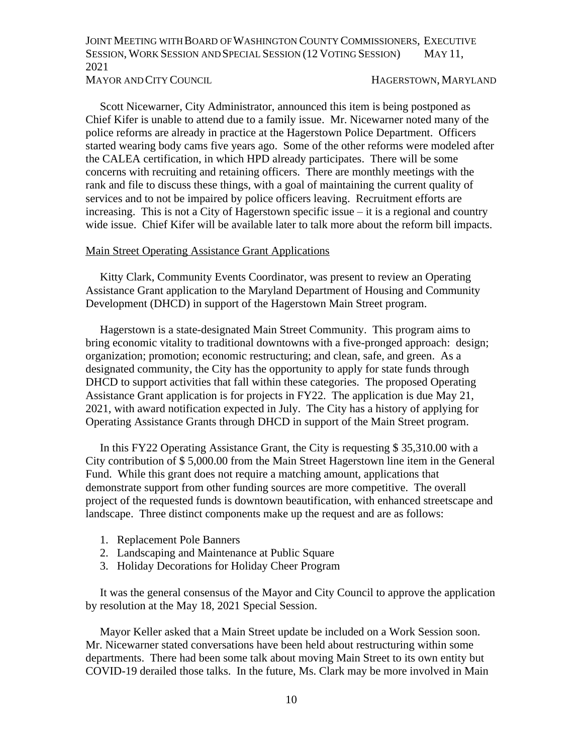### MAYOR AND CITY COUNCIL SERVICE SERVICES AND HAGERSTOWN, MARYLAND

 Scott Nicewarner, City Administrator, announced this item is being postponed as Chief Kifer is unable to attend due to a family issue. Mr. Nicewarner noted many of the police reforms are already in practice at the Hagerstown Police Department. Officers started wearing body cams five years ago. Some of the other reforms were modeled after the CALEA certification, in which HPD already participates. There will be some concerns with recruiting and retaining officers. There are monthly meetings with the rank and file to discuss these things, with a goal of maintaining the current quality of services and to not be impaired by police officers leaving. Recruitment efforts are increasing. This is not a City of Hagerstown specific issue – it is a regional and country wide issue. Chief Kifer will be available later to talk more about the reform bill impacts.

## Main Street Operating Assistance Grant Applications

 Kitty Clark, Community Events Coordinator, was present to review an Operating Assistance Grant application to the Maryland Department of Housing and Community Development (DHCD) in support of the Hagerstown Main Street program.

 Hagerstown is a state-designated Main Street Community. This program aims to bring economic vitality to traditional downtowns with a five-pronged approach: design; organization; promotion; economic restructuring; and clean, safe, and green. As a designated community, the City has the opportunity to apply for state funds through DHCD to support activities that fall within these categories. The proposed Operating Assistance Grant application is for projects in FY22. The application is due May 21, 2021, with award notification expected in July. The City has a history of applying for Operating Assistance Grants through DHCD in support of the Main Street program.

 In this FY22 Operating Assistance Grant, the City is requesting \$ 35,310.00 with a City contribution of \$ 5,000.00 from the Main Street Hagerstown line item in the General Fund. While this grant does not require a matching amount, applications that demonstrate support from other funding sources are more competitive. The overall project of the requested funds is downtown beautification, with enhanced streetscape and landscape. Three distinct components make up the request and are as follows:

- 1. Replacement Pole Banners
- 2. Landscaping and Maintenance at Public Square
- 3. Holiday Decorations for Holiday Cheer Program

 It was the general consensus of the Mayor and City Council to approve the application by resolution at the May 18, 2021 Special Session.

 Mayor Keller asked that a Main Street update be included on a Work Session soon. Mr. Nicewarner stated conversations have been held about restructuring within some departments. There had been some talk about moving Main Street to its own entity but COVID-19 derailed those talks. In the future, Ms. Clark may be more involved in Main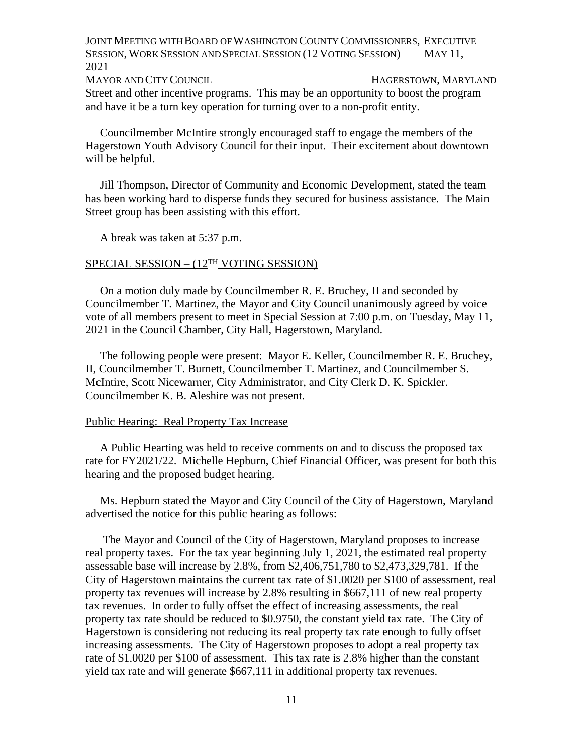MAYOR AND CITY COUNCIL HAGERSTOWN, MARYLAND

Street and other incentive programs. This may be an opportunity to boost the program and have it be a turn key operation for turning over to a non-profit entity.

 Councilmember McIntire strongly encouraged staff to engage the members of the Hagerstown Youth Advisory Council for their input. Their excitement about downtown will be helpful.

 Jill Thompson, Director of Community and Economic Development, stated the team has been working hard to disperse funds they secured for business assistance. The Main Street group has been assisting with this effort.

A break was taken at 5:37 p.m.

## SPECIAL SESSION – (12<sup>TH</sup> VOTING SESSION)

 On a motion duly made by Councilmember R. E. Bruchey, II and seconded by Councilmember T. Martinez, the Mayor and City Council unanimously agreed by voice vote of all members present to meet in Special Session at 7:00 p.m. on Tuesday, May 11, 2021 in the Council Chamber, City Hall, Hagerstown, Maryland.

 The following people were present: Mayor E. Keller, Councilmember R. E. Bruchey, II, Councilmember T. Burnett, Councilmember T. Martinez, and Councilmember S. McIntire, Scott Nicewarner, City Administrator, and City Clerk D. K. Spickler. Councilmember K. B. Aleshire was not present.

### Public Hearing: Real Property Tax Increase

 A Public Hearting was held to receive comments on and to discuss the proposed tax rate for FY2021/22. Michelle Hepburn, Chief Financial Officer, was present for both this hearing and the proposed budget hearing.

 Ms. Hepburn stated the Mayor and City Council of the City of Hagerstown, Maryland advertised the notice for this public hearing as follows:

 The Mayor and Council of the City of Hagerstown, Maryland proposes to increase real property taxes. For the tax year beginning July 1, 2021, the estimated real property assessable base will increase by 2.8%, from \$2,406,751,780 to \$2,473,329,781. If the City of Hagerstown maintains the current tax rate of \$1.0020 per \$100 of assessment, real property tax revenues will increase by 2.8% resulting in \$667,111 of new real property tax revenues. In order to fully offset the effect of increasing assessments, the real property tax rate should be reduced to \$0.9750, the constant yield tax rate. The City of Hagerstown is considering not reducing its real property tax rate enough to fully offset increasing assessments. The City of Hagerstown proposes to adopt a real property tax rate of \$1.0020 per \$100 of assessment. This tax rate is 2.8% higher than the constant yield tax rate and will generate \$667,111 in additional property tax revenues.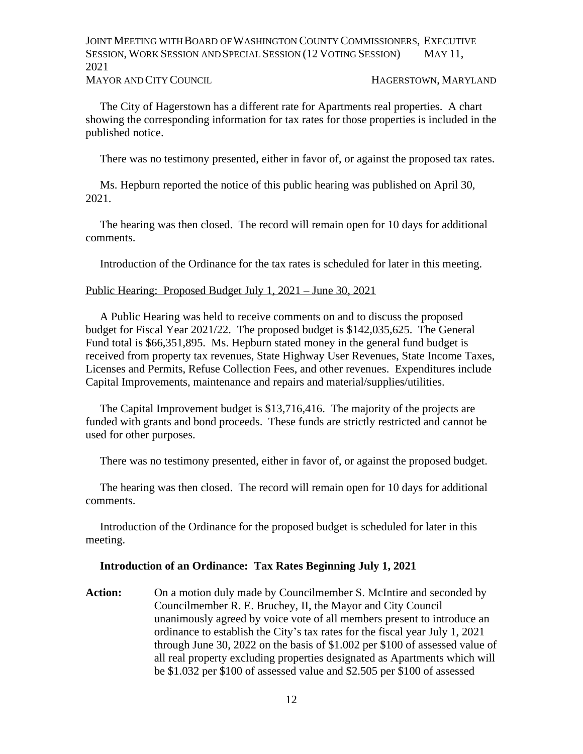## JOINT MEETING WITH BOARD OF WASHINGTON COUNTY COMMISSIONERS, EXECUTIVE SESSION, WORK SESSION AND SPECIAL SESSION (12 VOTING SESSION) MAY 11, 2021 MAYOR AND CITY COUNCIL SERVICE SERVICES AND HAGERSTOWN, MARYLAND

 The City of Hagerstown has a different rate for Apartments real properties. A chart showing the corresponding information for tax rates for those properties is included in the published notice.

There was no testimony presented, either in favor of, or against the proposed tax rates.

 Ms. Hepburn reported the notice of this public hearing was published on April 30, 2021.

 The hearing was then closed. The record will remain open for 10 days for additional comments.

Introduction of the Ordinance for the tax rates is scheduled for later in this meeting.

## Public Hearing: Proposed Budget July 1, 2021 – June 30, 2021

 A Public Hearing was held to receive comments on and to discuss the proposed budget for Fiscal Year 2021/22. The proposed budget is \$142,035,625. The General Fund total is \$66,351,895. Ms. Hepburn stated money in the general fund budget is received from property tax revenues, State Highway User Revenues, State Income Taxes, Licenses and Permits, Refuse Collection Fees, and other revenues. Expenditures include Capital Improvements, maintenance and repairs and material/supplies/utilities.

 The Capital Improvement budget is \$13,716,416. The majority of the projects are funded with grants and bond proceeds. These funds are strictly restricted and cannot be used for other purposes.

There was no testimony presented, either in favor of, or against the proposed budget.

 The hearing was then closed. The record will remain open for 10 days for additional comments.

 Introduction of the Ordinance for the proposed budget is scheduled for later in this meeting.

## **Introduction of an Ordinance: Tax Rates Beginning July 1, 2021**

Action: On a motion duly made by Councilmember S. McIntire and seconded by Councilmember R. E. Bruchey, II, the Mayor and City Council unanimously agreed by voice vote of all members present to introduce an ordinance to establish the City's tax rates for the fiscal year July 1, 2021 through June 30, 2022 on the basis of \$1.002 per \$100 of assessed value of all real property excluding properties designated as Apartments which will be \$1.032 per \$100 of assessed value and \$2.505 per \$100 of assessed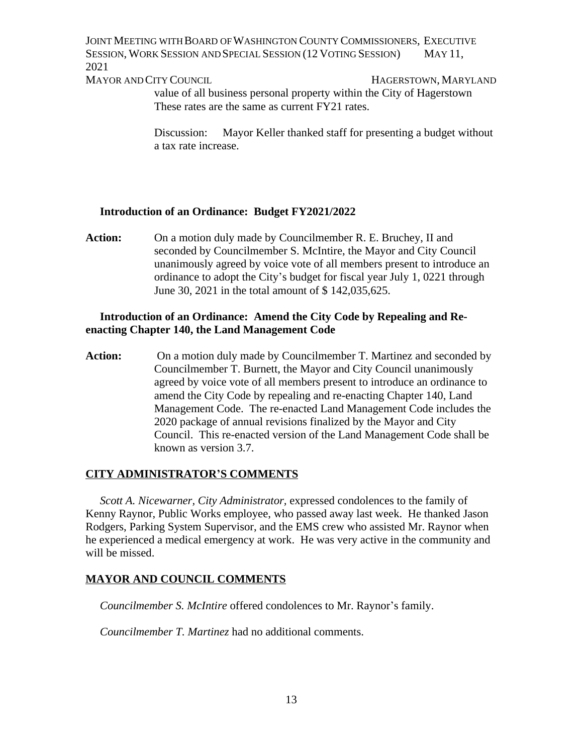JOINT MEETING WITH BOARD OF WASHINGTON COUNTY COMMISSIONERS, EXECUTIVE SESSION, WORK SESSION AND SPECIAL SESSION (12 VOTING SESSION) MAY 11, 2021 MAYOR AND CITY COUNCIL HAGERSTOWN, MARYLAND

value of all business personal property within the City of Hagerstown These rates are the same as current FY21 rates.

Discussion: Mayor Keller thanked staff for presenting a budget without a tax rate increase.

# **Introduction of an Ordinance: Budget FY2021/2022**

**Action:** On a motion duly made by Councilmember R. E. Bruchey, II and seconded by Councilmember S. McIntire, the Mayor and City Council unanimously agreed by voice vote of all members present to introduce an ordinance to adopt the City's budget for fiscal year July 1, 0221 through June 30, 2021 in the total amount of \$ 142,035,625.

# **Introduction of an Ordinance: Amend the City Code by Repealing and Reenacting Chapter 140, the Land Management Code**

Action: On a motion duly made by Councilmember T. Martinez and seconded by Councilmember T. Burnett, the Mayor and City Council unanimously agreed by voice vote of all members present to introduce an ordinance to amend the City Code by repealing and re-enacting Chapter 140, Land Management Code. The re-enacted Land Management Code includes the 2020 package of annual revisions finalized by the Mayor and City Council. This re-enacted version of the Land Management Code shall be known as version 3.7.

# **CITY ADMINISTRATOR'S COMMENTS**

 *Scott A. Nicewarner, City Administrator,* expressed condolences to the family of Kenny Raynor, Public Works employee, who passed away last week. He thanked Jason Rodgers, Parking System Supervisor, and the EMS crew who assisted Mr. Raynor when he experienced a medical emergency at work. He was very active in the community and will be missed.

# **MAYOR AND COUNCIL COMMENTS**

*Councilmember S. McIntire* offered condolences to Mr. Raynor's family.

*Councilmember T. Martinez* had no additional comments.